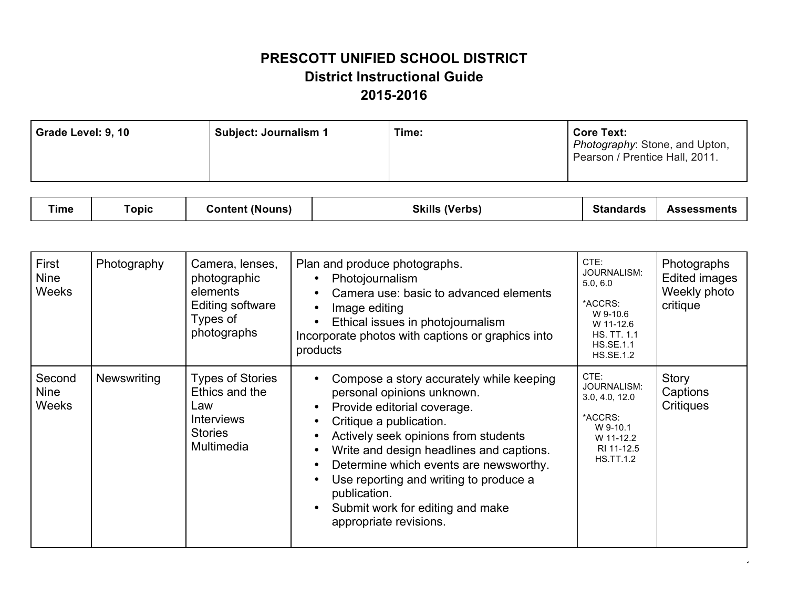## **PRESCOTT UNIFIED SCHOOL DISTRICT District Instructional Guide 2015-2016**

| Grade Level: 9, 10            |              | <b>Subject: Journalism 1</b>                                                               | Time:                                                                                                                                                                                                                                                                                                                                                                              | <b>Core Text:</b><br>Photography: Stone, and Upton,<br>Pearson / Prentice Hall, 2011.                                                        |                                                                 |
|-------------------------------|--------------|--------------------------------------------------------------------------------------------|------------------------------------------------------------------------------------------------------------------------------------------------------------------------------------------------------------------------------------------------------------------------------------------------------------------------------------------------------------------------------------|----------------------------------------------------------------------------------------------------------------------------------------------|-----------------------------------------------------------------|
| <b>Time</b>                   | <b>Topic</b> | <b>Content (Nouns)</b>                                                                     | <b>Skills (Verbs)</b>                                                                                                                                                                                                                                                                                                                                                              | <b>Standards</b>                                                                                                                             | <b>Assessments</b>                                              |
| First<br><b>Nine</b><br>Weeks | Photography  | Camera, lenses,<br>photographic<br>elements<br>Editing software<br>Types of<br>nhotographe | Plan and produce photographs.<br>Photojournalism<br>Camera use: basic to advanced elements<br>Image editing<br>Ethical issues in photojournalism<br>to a consistent and the constitution of the constitution of the constitution of the constitution of the constitution of the constitution of the constitution of the constitution of the constitution of the constitution of th | CTE:<br><b>JOURNALISM:</b><br>5.0, 6.0<br>*ACCRS:<br>W 9-10.6<br>W 11-12.6<br>$\overline{110}$ $\overline{17}$ $\overline{4}$ $\overline{4}$ | Photographs<br><b>Edited images</b><br>Weekly photo<br>critique |

|                                |             | I YUU OI<br>photographs                                                                               | Ethical issues in photojournalism<br>Incorporate photos with captions or graphics into<br>products                                                                                                                                                                                                                                                                                     | W 11-12.6<br><b>HS. TT. 1.1</b><br><b>HS.SE.1.1</b><br><b>HS.SE.1.2</b>                                            |                                |
|--------------------------------|-------------|-------------------------------------------------------------------------------------------------------|----------------------------------------------------------------------------------------------------------------------------------------------------------------------------------------------------------------------------------------------------------------------------------------------------------------------------------------------------------------------------------------|--------------------------------------------------------------------------------------------------------------------|--------------------------------|
| Second<br><b>Nine</b><br>Weeks | Newswriting | <b>Types of Stories</b><br>Ethics and the<br>Law<br><b>Interviews</b><br><b>Stories</b><br>Multimedia | Compose a story accurately while keeping<br>personal opinions unknown.<br>Provide editorial coverage.<br>Critique a publication.<br>Actively seek opinions from students<br>Write and design headlines and captions.<br>Determine which events are newsworthy.<br>Use reporting and writing to produce a<br>publication.<br>Submit work for editing and make<br>appropriate revisions. | CTE:<br><b>JOURNALISM:</b><br>3.0, 4.0, 12.0<br>*ACCRS:<br>W 9-10.1<br>W 11-12.2<br>RI 11-12.5<br><b>HS.TT.1.2</b> | Story<br>Captions<br>Critiques |
|                                |             |                                                                                                       |                                                                                                                                                                                                                                                                                                                                                                                        |                                                                                                                    |                                |

 $\cdot$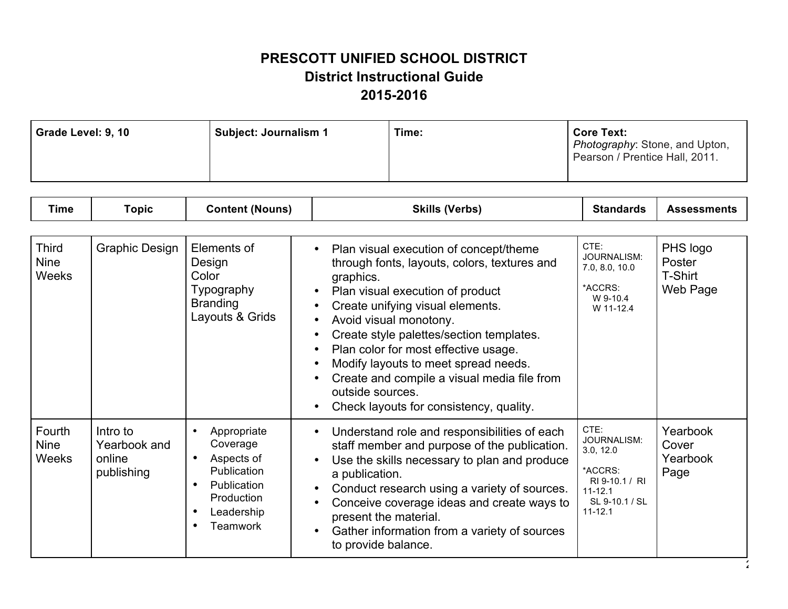## **PRESCOTT UNIFIED SCHOOL DISTRICT District Instructional Guide 2015-2016**

| Time:<br><b>Core Text:</b><br>Subject: Journalism 1<br>Grade Level: 9, 10<br>Photography: Stone, and Upton,<br>Pearson / Prentice Hall, 2011. |  |
|-----------------------------------------------------------------------------------------------------------------------------------------------|--|
|-----------------------------------------------------------------------------------------------------------------------------------------------|--|

| Skills<br><b>CLA</b><br>/Varhe<br>้วnic<br>.<br>. ıme<br>(Nouns<br>.<br>ns<br>ш.<br>the contract of the contract of the contract of |
|-------------------------------------------------------------------------------------------------------------------------------------|
|-------------------------------------------------------------------------------------------------------------------------------------|

| <b>Third</b><br><b>Nine</b><br><b>Weeks</b> | <b>Graphic Design</b>                            | Elements of<br>Design<br>Color<br>Typography<br><b>Branding</b><br>Layouts & Grids                                              | Plan visual execution of concept/theme<br>through fonts, layouts, colors, textures and<br>graphics.<br>Plan visual execution of product<br>Create unifying visual elements.<br>Avoid visual monotony.<br>Create style palettes/section templates.<br>Plan color for most effective usage.<br>Modify layouts to meet spread needs.<br>Create and compile a visual media file from<br>outside sources.<br>Check layouts for consistency, quality. | CTE:<br>JOURNALISM:<br>7.0, 8.0, 10.0<br>*ACCRS:<br>W 9-10.4<br>W 11-12.4                                     | PHS logo<br>Poster<br>T-Shirt<br>Web Page |
|---------------------------------------------|--------------------------------------------------|---------------------------------------------------------------------------------------------------------------------------------|-------------------------------------------------------------------------------------------------------------------------------------------------------------------------------------------------------------------------------------------------------------------------------------------------------------------------------------------------------------------------------------------------------------------------------------------------|---------------------------------------------------------------------------------------------------------------|-------------------------------------------|
| Fourth<br><b>Nine</b><br><b>Weeks</b>       | Intro to<br>Yearbook and<br>online<br>publishing | Appropriate<br>Coverage<br>Aspects of<br>$\bullet$<br>Publication<br>Publication<br>Production<br>Leadership<br><b>Teamwork</b> | Understand role and responsibilities of each<br>staff member and purpose of the publication.<br>Use the skills necessary to plan and produce<br>a publication.<br>Conduct research using a variety of sources.<br>Conceive coverage ideas and create ways to<br>present the material.<br>Gather information from a variety of sources<br>to provide balance.                                                                                    | CTE:<br>JOURNALISM:<br>3.0, 12.0<br>*ACCRS:<br>RI 9-10.1 / RI<br>$11 - 12.1$<br>SL 9-10.1 / SL<br>$11 - 12.1$ | Yearbook<br>Cover<br>Yearbook<br>Page     |